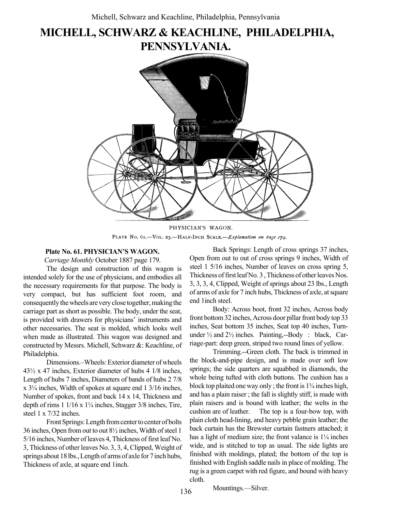# MICHELL, SCHWARZ & KEACHLINE, PHILADELPHIA, PENNSYLVANIA.



PHYSICIAN'S WAGON. PLATE No. 61.-VOL. 23.-HALF-INCH SCALE.-Explanation on page 179.

#### Plate No. 61. PHYSICIAN'S WAGON.

Carriage Monthly October 1887 page 179.

The design and construction of this wagon is intended solely for the use of physicians, and embodies all the necessary requirements for that purpose. The body is very compact, but has sufficient foot room, and consequently the wheels are very close together, making the carriage part as short as possible. The body, under the seat, is provided with drawers for physicians' instruments and other necessaries. The seat is molded, which looks well when made as illustrated. This wagon was designed and constructed by Messrs. Michell, Schwarz &: Keachline, of Philadelphia.

Dimensions.<sup>-</sup>Wheels: Exterior diameter of wheels 43½ x 47 inches, Exterior diameter of hubs 4 1/8 inches, Length of hubs 7 inches, Diameters of bands of hubs 2 7/8  $x$  3<sup> $1/4$ </sup> inches, Width of spokes at square end 1 3/16 inches, Number of spokes, front and back 14 x 14, Thickness and depth of rims  $1 \frac{1}{16} \times 1\frac{1}{4}$  inches, Stagger  $\frac{3}{8}$  inches, Tire, steel 1 x 7/32 inches.

Front Springs: Length from center to center of bolts 36 inches, Open from out to out 8½ inches, Width of steel 1 5/16 inches, Number of leaves 4, Thickness of first leaf No. 3, Thickness of other leaves No. 3, 3, 4, Clipped, Weight of springs about 18 lbs., Length of arms of axle for 7 inch hubs, Thickness of axle, at square end 1inch.

Back Springs: Length of cross springs 37 inches, Open from out to out of cross springs 9 inches, Width of steel 1 5/16 inches, Number of leaves on cross spring 5, Thickness of first leaf No. 3 , Thickness of other leaves Nos. 3, 3, 3, 4, Clipped, Weight of springs about 23 lbs., Length of arms of axle for 7 inch hubs, Thickness of axle, at square end 1inch steel.

Body: Across boot, front 32 inches, Across body front bottom 32 inches, Across door pillar front body top 33 inches, Seat bottom 35 inches, Seat top 40 inches, Turnunder ½ and 2½ inches. Painting,--Body : black, Carriage-part: deep green, striped two round lines of yellow.

Trimming.--Green cloth. The back is trimmed in the block-and-pipe design, and is made over soft low springs; the side quarters are squabbed in diamonds, the whole being tufted with cloth buttons. The cushion has a block top plaited one way only; the front is  $1\frac{3}{4}$  inches high, and has a plain raiser ; the fall is slightly stiff, is made with plain raisers and is bound with leather; the welts in the cushion are of leather. The top is a four-bow top, with plain cloth head-lining, and heavy pebble grain leather; the back curtain has the Brewster curtain fastners attached; it has a light of medium size; the front valance is  $1\frac{1}{4}$  inches wide, and is stitched to top as usual. The side lights are finished with moldings, plated; the bottom of the top is finished with English saddle nails in place of molding. The rug is a green carpet with red figure, and bound with heavy cloth.

Mountings.—Silver.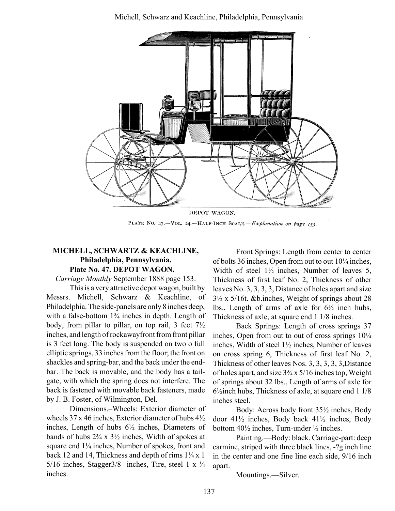

DEPOT WAGON. PLATE NO. 47.-VOL. 24.-HALF-INCH SCALE.-Explanation on bage 153.

## MICHELL, SCHWARTZ & KEACHLINE, Philadelphia, Pennsylvania. Plate No. 47. DEPOT WAGON.

Carriage Monthly September 1888 page 153.

This is a very attractive depot wagon, built by Messrs. Michell, Schwarz & Keachline, of Philadelphia. The side-panels are only 8 inches deep, with a false-bottom  $1\frac{3}{4}$  inches in depth. Length of body, from pillar to pillar, on top rail, 3 feet 7½ inches, and length of rockawayfront from front pillar is 3 feet long. The body is suspended on two o full elliptic springs, 33 inches from the floor; the front on shackles and spring-bar, and the back under the endbar. The back is movable, and the body has a tailgate, with which the spring does not interfere. The back is fastened with movable back fasteners, made by J. B. Foster, of Wilmington, Del.

Dimensions.–Wheels: Exterior diameter of wheels 37 x 46 inches, Exterior diameter of hubs 4½ inches, Length of hubs 6½ inches, Diameters of bands of hubs  $2\frac{3}{4} \times 3\frac{1}{2}$  inches, Width of spokes at square end  $1\frac{1}{4}$  inches, Number of spokes, front and back 12 and 14, Thickness and depth of rims  $1\frac{1}{4}x$  1 5/16 inches, Stagger3/8 inches, Tire, steel 1 x  $\frac{1}{4}$ inches.

Front Springs: Length from center to center of bolts 36 inches, Open from out to out  $10\frac{1}{4}$  inches, Width of steel 1½ inches, Number of leaves 5, Thickness of first leaf No. 2, Thickness of other leaves No. 3, 3, 3, 3, Distance of holes apart and size 3½ x 5/16t. &b.inches, Weight of springs about 28 lbs., Length of arms of axle for  $6\frac{1}{2}$  inch hubs, Thickness of axle, at square end 1 1/8 inches.

Back Springs: Length of cross springs 37 inches, Open from out to out of cross springs  $10\frac{1}{4}$ inches, Width of steel 1½ inches, Number of leaves on cross spring 6, Thickness of first leaf No. 2, Thickness of other leaves Nos. 3, 3, 3, 3, 3,Distance of holes apart, and size  $3\frac{3}{4}$  x  $5/16$  inches top, Weight of springs about 32 lbs., Length of arms of axle for 6½inch hubs, Thickness of axle, at square end 1 1/8 inches steel.

Body: Across body front 35½ inches, Body door 41½ inches, Body back 41½ inches, Body bottom 40½ inches, Turn-under ½ inches.

Painting.—Body: black. Carriage-part: deep carmine, striped with three black lines, -?g inch line in the center and one fine line each side, 9/16 inch apart.

Mountings.—Silver.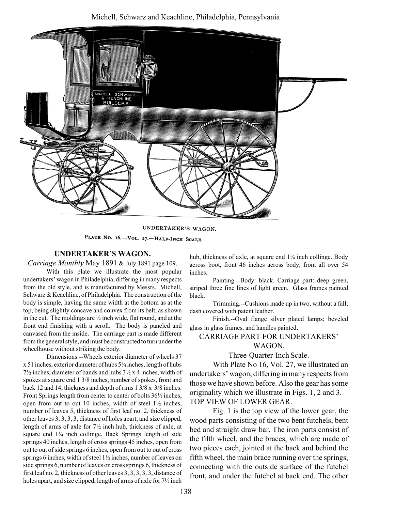#### Michell, Schwarz and Keachline, Philadelphia, Pennsylvania



UNDERTAKER'S WAGON.

PLATE NO. 16.-VOL. 27.-HALF-INCH SCALE.

#### UNDERTAKER'S WAGON.

Carriage Monthly May 1891 & July 1891 page 109.

With this plate we illustrate the most popular undertakers' wagon in Philadelphia, differing in many respects from the old style, and is manufactured by Messrs. Michell, Schwarz & Keachline, of Philadelphia. The construction of the body is simple, having the same width at the bottom as at the top, being slightly concave and convex from its belt, as shown in the cut. The moldings are  $\frac{1}{2}$  inch wide, flat round, and at the front end finishing with a scroll. The body is paneled and canvased from the inside. The carriage part is made different from the general style, and must be constructed to turn under the wheelhouse without striking the body.

Dimensions.--Wheels exterior diameter of wheels 37  $x 51$  inches, exterior diameter of hubs  $5\frac{1}{4}$  inches, length of hubs 7½ inches, diameter of bands and hubs 3½ x 4 inches, width of spokes at square end 1 3/8 inches, number of spokes, front and back 12 and 14, thickness and depth of rims 1 3/8 x 3/8 inches. Front Springs length from center to center of bolts 36½ inches, open from out to out 10 inches, width of steel  $1\frac{1}{2}$  inches, number of leaves 5, thickness of first leaf no. 2, thickness of other leaves 3, 3, 3, 3, distance of holes apart, and size clipped, length of arms of axle for 7½ inch hub, thickness of axle, at square end  $1\frac{1}{4}$  inch collinge. Back Springs length of side springs 40 inches, length of cross springs 45 inches, open from out to out of side springs 6 inches, open from out to out of cross springs 6 inches, width of steel 1½ inches, number of leaves on side springs 6, number of leaves on cross springs 6, thickness of first leaf no. 2, thickness of other leaves 3, 3, 3, 3, 3, distance of holes apart, and size clipped, length of arms of axle for 7½ inch hub, thickness of axle, at square end  $1\frac{1}{4}$  inch collinge. Body across boot, front 46 inches across body, front all over 54 inches.

Painting.--Body: black. Carriage part: deep green, striped three fine lines of light green. Glass frames painted black.

Trimming.--Cushions made up in two, without a fall; dash covered with patent leather.

Finish.--Oval flange silver plated lamps; beveled glass in glass frames, and handles painted.

CARRIAGE PART FOR UNDERTAKERS' WAGON.

Three-Quarter-Inch Scale.

With Plate No 16, Vol. 27, we illustrated an undertakers' wagon, differing in many respects from those we have shown before. Also the gear has some originality which we illustrate in Figs. 1, 2 and 3. TOP VIEW OF LOWER GEAR.

Fig. 1 is the top view of the lower gear, the wood parts consisting of the two bent futchels, bent bed and straight draw bar. The iron parts consist of the fifth wheel, and the braces, which are made of two pieces each, jointed at the back and behind the fifth wheel, the main brace running over the springs, connecting with the outside surface of the futchel front, and under the futchel at back end. The other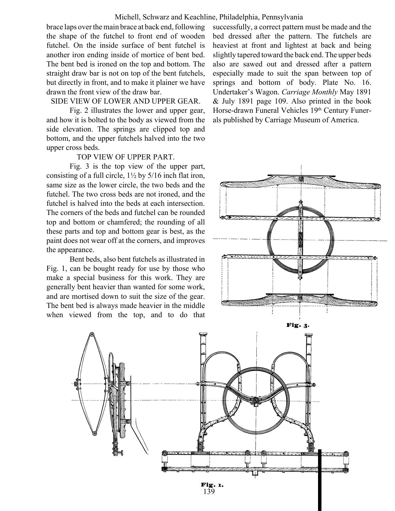#### Michell, Schwarz and Keachline, Philadelphia, Pennsylvania

brace laps over the main brace at back end, following the shape of the futchel to front end of wooden futchel. On the inside surface of bent futchel is another iron ending inside of mortice of bent bed. The bent bed is ironed on the top and bottom. The straight draw bar is not on top of the bent futchels, but directly in front, and to make it plainer we have drawn the front view of the draw bar.

#### SIDE VIEW OF LOWER AND UPPER GEAR.

Fig. 2 illustrates the lower and upper gear, and how it is bolted to the body as viewed from the side elevation. The springs are clipped top and bottom, and the upper futchels halved into the two upper cross beds.

# TOP VIEW OF UPPER PART.

Fig. 3 is the top view of the upper part, consisting of a full circle, 1½ by 5/16 inch flat iron, same size as the lower circle, the two beds and the futchel. The two cross beds are not ironed, and the futchel is halved into the beds at each intersection. The corners of the beds and futchel can be rounded top and bottom or chamfered; the rounding of all these parts and top and bottom gear is best, as the paint does not wear off at the corners, and improves the appearance.

Bent beds, also bent futchels as illustrated in Fig. 1, can be bought ready for use by those who make a special business for this work. They are generally bent heavier than wanted for some work, and are mortised down to suit the size of the gear. The bent bed is always made heavier in the middle when viewed from the top, and to do that

successfully, a correct pattern must be made and the bed dressed after the pattern. The futchels are heaviest at front and lightest at back and being slightly tapered toward the back end. The upper beds also are sawed out and dressed after a pattern especially made to suit the span between top of springs and bottom of body. Plate No. 16. Undertaker's Wagon. Carriage Monthly May 1891 & July 1891 page 109. Also printed in the book Horse-drawn Funeral Vehicles 19th Century Funerals published by Carriage Museum of America.



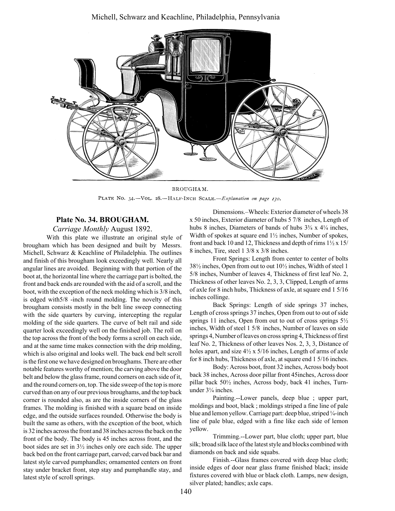#### Michell, Schwarz and Keachline, Philadelphia, Pennsylvania



BROUGHAM. PLATE NO. 34.-VOL. 28.-HALF-INCH SCALE.-Explanation on page 130.

### Plate No. 34. BROUGHAM.

Carriage Monthly August 1892.

With this plate we illustrate an original style of brougham which has been designed and built by Messrs. Michell, Schwarz & Keachline of Philadelphia. The outlines and finish of this brougham look exceedingly well. Nearly all angular lines are avoided. Beginning with that portion of the boot at, the horizontal line where the carriage part is bolted, the front and back ends are rounded with the aid of a scroll, and the boot, with the exception of the neck molding which is 3/8 inch, is edged with5/8 -inch round molding. The novelty of this brougham consists mostly in the belt line sweep connecting with the side quarters by curving, intercepting the regular molding of the side quarters. The curve of belt rail and side quarter look exceedingly well on the finished job. The roll on the top across the front of the body forms a scroll on each side, and at the same time makes connection with the drip molding, which is also original and looks well. The back end belt scroll is the first one we have designed on broughams. There are other notable features worthy of mention; the carving above the door belt and below the glass frame, round corners on each side of it, and the round corners on, top. The side sweep of the top is more curved than on any of our previous broughams, and the top back corner is rounded also, as are the inside corners of the glass frames. The molding is finished with a square bead on inside edge, and the outside surfaces rounded. Otherwise the body is built the same as others, with the exception of the boot, which is 32 inches across the front and 38 inches across the back on the front of the body. The body is 45 inches across front, and the boot sides are set in 3½ inches only ore each side. The upper back bed on the front carriage part, carved; carved back bar and latest style carved pumphandles; ornamented centers on front stay under bracket front, step stay and pumphandle stay, and latest style of scroll springs.

Dimensions.<sup>-</sup>Wheels: Exterior diameter of wheels 38 x 50 inches, Exterior diameter of hubs 5 7/8 inches, Length of hubs 8 inches, Diameters of bands of hubs  $3\frac{3}{4} \times 4\frac{1}{4}$  inches, Width of spokes at square end 1½ inches, Number of spokes, front and back 10 and 12, Thickness and depth of rims  $1\frac{1}{2}x 15$ 8 inches, Tire, steel 1 3/8 x 3/8 inches.

Front Springs: Length from center to center of bolts 38½ inches, Open from out to out 10½ inches, Width of steel 1 5/8 inches, Number of leaves 4, Thickness of first leaf No. 2, Thickness of other leaves No. 2, 3, 3, Clipped, Length of arms of axle for 8 inch hubs, Thickness of axle, at square end 1 5/16 inches collinge.

Back Springs: Length of side springs 37 inches, Length of cross springs 37 inches, Open from out to out of side springs 11 inches, Open from out to out of cross springs 5½ inches, Width of steel 1 5/8 inches, Number of leaves on side springs 4, Number of leaves on cross spring 4, Thickness of first leaf No. 2, Thickness of other leaves Nos. 2, 3, 3, Distance of holes apart, and size  $4\frac{1}{2}$  x 5/16 inches, Length of arms of axle for 8 inch hubs, Thickness of axle, at square end 1 5/16 inches.

Body: Across boot, front 32 inches, Across body boot back 38 inches, Across door pillar front 45inches, Across door pillar back 50½ inches, Across body, back 41 inches, Turnunder  $3\frac{1}{4}$  inches.

Painting.--Lower panels, deep blue ; upper part, moldings and boot, black ; moldings striped a fine line of pale blue and lemon yellow. Carriage part: deep blue, striped <sup>1</sup>/<sub>4</sub>-inch line of pale blue, edged with a fine like each side of lemon yellow.

Trimming.--Lower part, blue cloth; upper part, blue silk; broad silk lace of the latest style and blocks combined with diamonds on back and side squabs.

Finish.--Glass frames covered with deep blue cloth; inside edges of door near glass frame finished black; inside fixtures covered with blue or black cloth. Lamps, new design, silver plated; handles; axle caps.